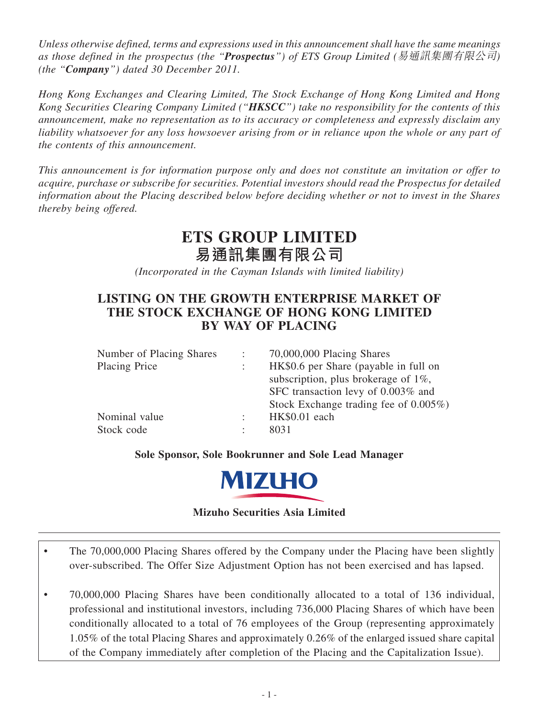*Unless otherwise defined, terms and expressions used in this announcement shall have the same meanings as those defined in the prospectus (the "Prospectus") of ETS Group Limited (*易通訊集團有限公司*) (the "Company") dated 30 December 2011.*

*Hong Kong Exchanges and Clearing Limited, The Stock Exchange of Hong Kong Limited and Hong Kong Securities Clearing Company Limited ("HKSCC") take no responsibility for the contents of this announcement, make no representation as to its accuracy or completeness and expressly disclaim any liability whatsoever for any loss howsoever arising from or in reliance upon the whole or any part of the contents of this announcement.*

*This announcement is for information purpose only and does not constitute an invitation or offer to acquire, purchase or subscribe for securities. Potential investors should read the Prospectus for detailed information about the Placing described below before deciding whether or not to invest in the Shares thereby being offered.*

# **ETS GROUP LIMITED 易通訊集團有限公司**

*(Incorporated in the Cayman Islands with limited liability)*

# **LISTING ON THE GROWTH ENTERPRISE MARKET OF THE STOCK EXCHANGE OF HONG KONG LIMITED BY WAY OF PLACING**

| Number of Placing Shares | $\mathcal{L}$             | 70,000,000 Placing Shares                 |
|--------------------------|---------------------------|-------------------------------------------|
| Placing Price            | $\mathbb{Z}^{\mathbb{Z}}$ | HK\$0.6 per Share (payable in full on     |
|                          |                           | subscription, plus brokerage of $1\%$ ,   |
|                          |                           | SFC transaction levy of 0.003% and        |
|                          |                           | Stock Exchange trading fee of $0.005\%$ ) |
| Nominal value            | $\sigma_{\rm{max}}$       | HK\$0.01 each                             |
| Stock code               | $\mathbb{R}^{\mathbb{Z}}$ | 8031                                      |

#### **Sole Sponsor, Sole Bookrunner and Sole Lead Manager**



#### **Mizuho Securities Asia Limited**

- The 70,000,000 Placing Shares offered by the Company under the Placing have been slightly over-subscribed. The Offer Size Adjustment Option has not been exercised and has lapsed.
- 70,000,000 Placing Shares have been conditionally allocated to a total of 136 individual, professional and institutional investors, including 736,000 Placing Shares of which have been conditionally allocated to a total of 76 employees of the Group (representing approximately 1.05% of the total Placing Shares and approximately 0.26% of the enlarged issued share capital of the Company immediately after completion of the Placing and the Capitalization Issue).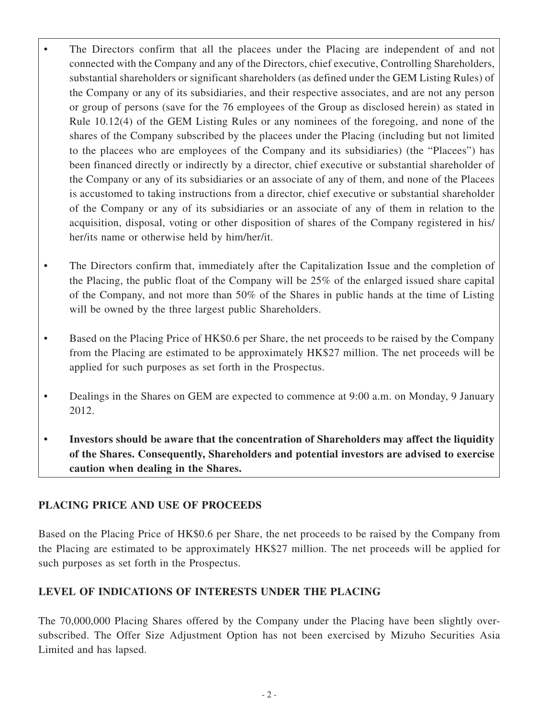- The Directors confirm that all the placees under the Placing are independent of and not connected with the Company and any of the Directors, chief executive, Controlling Shareholders, substantial shareholders or significant shareholders (as defined under the GEM Listing Rules) of the Company or any of its subsidiaries, and their respective associates, and are not any person or group of persons (save for the 76 employees of the Group as disclosed herein) as stated in Rule 10.12(4) of the GEM Listing Rules or any nominees of the foregoing, and none of the shares of the Company subscribed by the placees under the Placing (including but not limited to the placees who are employees of the Company and its subsidiaries) (the "Placees") has been financed directly or indirectly by a director, chief executive or substantial shareholder of the Company or any of its subsidiaries or an associate of any of them, and none of the Placees is accustomed to taking instructions from a director, chief executive or substantial shareholder of the Company or any of its subsidiaries or an associate of any of them in relation to the acquisition, disposal, voting or other disposition of shares of the Company registered in his/ her/its name or otherwise held by him/her/it.
- The Directors confirm that, immediately after the Capitalization Issue and the completion of the Placing, the public float of the Company will be 25% of the enlarged issued share capital of the Company, and not more than 50% of the Shares in public hands at the time of Listing will be owned by the three largest public Shareholders.
- Based on the Placing Price of HK\$0.6 per Share, the net proceeds to be raised by the Company from the Placing are estimated to be approximately HK\$27 million. The net proceeds will be applied for such purposes as set forth in the Prospectus.
- Dealings in the Shares on GEM are expected to commence at 9:00 a.m. on Monday, 9 January 2012.
- **• Investors should be aware that the concentration of Shareholders may affect the liquidity of the Shares. Consequently, Shareholders and potential investors are advised to exercise caution when dealing in the Shares.**

# **PLACING PRICE AND USE OF PROCEEDS**

Based on the Placing Price of HK\$0.6 per Share, the net proceeds to be raised by the Company from the Placing are estimated to be approximately HK\$27 million. The net proceeds will be applied for such purposes as set forth in the Prospectus.

# **LEVEL OF INDICATIONS OF INTERESTS UNDER THE PLACING**

The 70,000,000 Placing Shares offered by the Company under the Placing have been slightly oversubscribed. The Offer Size Adjustment Option has not been exercised by Mizuho Securities Asia Limited and has lapsed.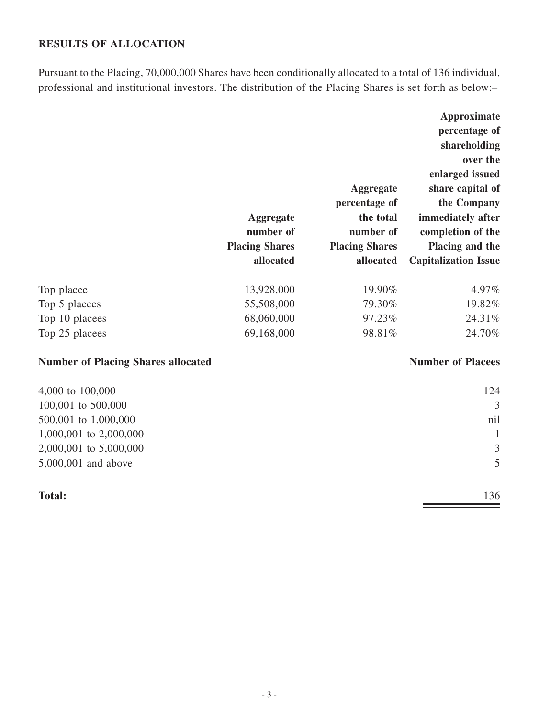# **RESULTS OF ALLOCATION**

Pursuant to the Placing, 70,000,000 Shares have been conditionally allocated to a total of 136 individual, professional and institutional investors. The distribution of the Placing Shares is set forth as below:–

|                |                       |                       | Approximate                 |
|----------------|-----------------------|-----------------------|-----------------------------|
|                |                       |                       | percentage of               |
|                |                       |                       | shareholding                |
|                |                       |                       | over the                    |
|                |                       |                       | enlarged issued             |
|                |                       | <b>Aggregate</b>      | share capital of            |
|                |                       | percentage of         | the Company                 |
|                | <b>Aggregate</b>      | the total             | immediately after           |
|                | number of             | number of             | completion of the           |
|                | <b>Placing Shares</b> | <b>Placing Shares</b> | Placing and the             |
|                | allocated             | allocated             | <b>Capitalization Issue</b> |
| Top placee     | 13,928,000            | 19.90%                | 4.97%                       |
| Top 5 placees  | 55,508,000            | 79.30%                | 19.82%                      |
| Top 10 placees | 68,060,000            | 97.23%                | 24.31%                      |
| Top 25 placees | 69,168,000            | 98.81%                | 24.70%                      |

# **Number of Placing Shares allocated Number of Placees**

| <b>Total:</b>          | 136          |
|------------------------|--------------|
| 5,000,001 and above    | 5            |
| 2,000,001 to 5,000,000 | 3            |
| 1,000,001 to 2,000,000 | $\mathbf{1}$ |
| 500,001 to 1,000,000   | nil          |
| 100,001 to 500,000     | 3            |
| 4,000 to 100,000       | 124          |
|                        |              |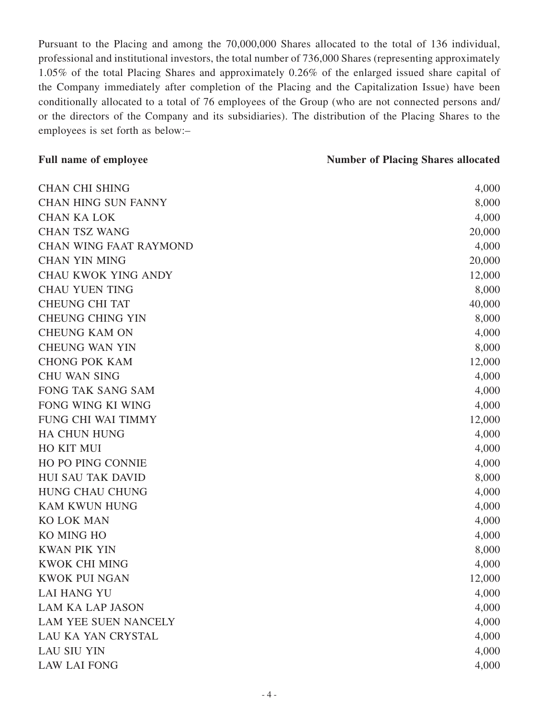Pursuant to the Placing and among the 70,000,000 Shares allocated to the total of 136 individual, professional and institutional investors, the total number of 736,000 Shares (representing approximately 1.05% of the total Placing Shares and approximately 0.26% of the enlarged issued share capital of the Company immediately after completion of the Placing and the Capitalization Issue) have been conditionally allocated to a total of 76 employees of the Group (who are not connected persons and/ or the directors of the Company and its subsidiaries). The distribution of the Placing Shares to the employees is set forth as below:–

| <b>Full name of employee</b>  | <b>Number of Placing Shares allocated</b> |
|-------------------------------|-------------------------------------------|
| <b>CHAN CHI SHING</b>         | 4,000                                     |
| <b>CHAN HING SUN FANNY</b>    | 8,000                                     |
| <b>CHAN KA LOK</b>            | 4,000                                     |
| <b>CHAN TSZ WANG</b>          | 20,000                                    |
| <b>CHAN WING FAAT RAYMOND</b> | 4,000                                     |
| <b>CHAN YIN MING</b>          | 20,000                                    |
| <b>CHAU KWOK YING ANDY</b>    | 12,000                                    |
| <b>CHAU YUEN TING</b>         | 8,000                                     |
| <b>CHEUNG CHI TAT</b>         | 40,000                                    |
| <b>CHEUNG CHING YIN</b>       | 8,000                                     |
| <b>CHEUNG KAM ON</b>          | 4,000                                     |
| <b>CHEUNG WAN YIN</b>         | 8,000                                     |
| <b>CHONG POK KAM</b>          | 12,000                                    |
| <b>CHU WAN SING</b>           | 4,000                                     |
| <b>FONG TAK SANG SAM</b>      | 4,000                                     |
| FONG WING KI WING             | 4,000                                     |
| FUNG CHI WAI TIMMY            | 12,000                                    |
| <b>HA CHUN HUNG</b>           | 4,000                                     |
| HO KIT MUI                    | 4,000                                     |
| HO PO PING CONNIE             | 4,000                                     |
| <b>HUI SAU TAK DAVID</b>      | 8,000                                     |
| <b>HUNG CHAU CHUNG</b>        | 4,000                                     |
| <b>KAM KWUN HUNG</b>          | 4,000                                     |
| <b>KO LOK MAN</b>             | 4,000                                     |
| KO MING HO                    | 4,000                                     |
| <b>KWAN PIK YIN</b>           | 8,000                                     |
| <b>KWOK CHI MING</b>          | 4,000                                     |
| <b>KWOK PUI NGAN</b>          | 12,000                                    |
| <b>LAI HANG YU</b>            | 4,000                                     |
| <b>LAM KA LAP JASON</b>       | 4,000                                     |
| <b>LAM YEE SUEN NANCELY</b>   | 4,000                                     |
| LAU KA YAN CRYSTAL            | 4,000                                     |
| <b>LAU SIU YIN</b>            | 4,000                                     |
| <b>LAW LAI FONG</b>           | 4,000                                     |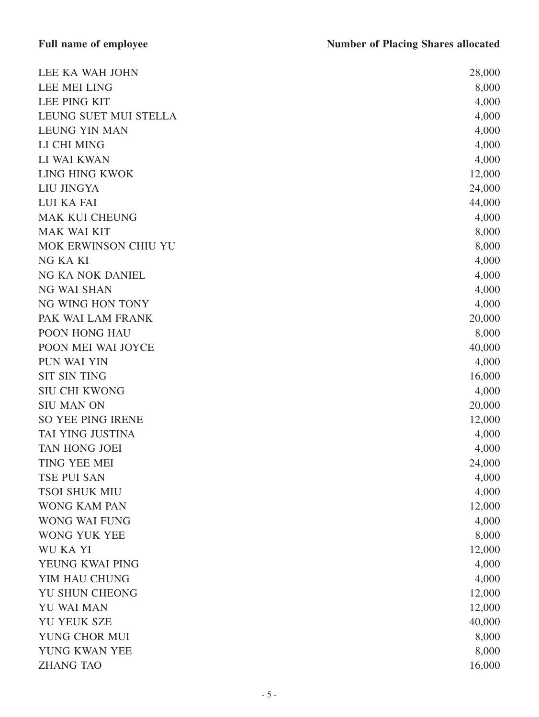| LEE KA WAH JOHN          | 28,000 |
|--------------------------|--------|
| <b>LEE MEI LING</b>      | 8,000  |
| <b>LEE PING KIT</b>      | 4,000  |
| LEUNG SUET MUI STELLA    | 4,000  |
| <b>LEUNG YIN MAN</b>     | 4,000  |
| LI CHI MING              | 4,000  |
| LI WAI KWAN              | 4,000  |
| LING HING KWOK           | 12,000 |
| LIU JINGYA               | 24,000 |
| LUI KA FAI               | 44,000 |
| <b>MAK KUI CHEUNG</b>    | 4,000  |
| <b>MAK WAI KIT</b>       | 8,000  |
| MOK ERWINSON CHIU YU     | 8,000  |
| NG KA KI                 | 4,000  |
| NG KA NOK DANIEL         | 4,000  |
| <b>NG WAI SHAN</b>       | 4,000  |
| NG WING HON TONY         | 4,000  |
| PAK WAI LAM FRANK        | 20,000 |
| POON HONG HAU            | 8,000  |
| POON MEI WAI JOYCE       | 40,000 |
| PUN WAI YIN              | 4,000  |
| <b>SIT SIN TING</b>      | 16,000 |
| <b>SIU CHI KWONG</b>     | 4,000  |
| <b>SIU MAN ON</b>        | 20,000 |
| <b>SO YEE PING IRENE</b> | 12,000 |
| TAI YING JUSTINA         | 4,000  |
| TAN HONG JOEI            | 4,000  |
| TING YEE MEI             | 24,000 |
| <b>TSE PUI SAN</b>       | 4,000  |
| <b>TSOI SHUK MIU</b>     | 4,000  |
| <b>WONG KAM PAN</b>      | 12,000 |
| WONG WAI FUNG            | 4,000  |
| WONG YUK YEE             | 8,000  |
| WU KA YI                 | 12,000 |
| YEUNG KWAI PING          | 4,000  |
| YIM HAU CHUNG            | 4,000  |
| YU SHUN CHEONG           | 12,000 |
| YU WAI MAN               | 12,000 |
| YU YEUK SZE              | 40,000 |
| YUNG CHOR MUI            | 8,000  |
| YUNG KWAN YEE            | 8,000  |
| <b>ZHANG TAO</b>         | 16,000 |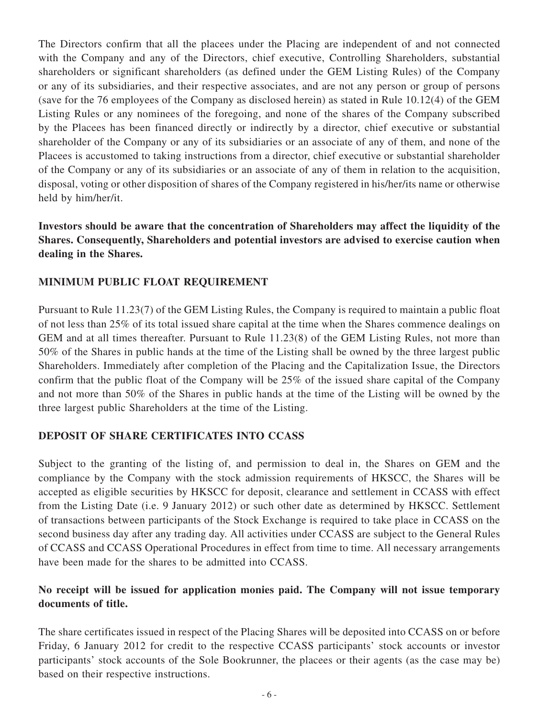The Directors confirm that all the placees under the Placing are independent of and not connected with the Company and any of the Directors, chief executive, Controlling Shareholders, substantial shareholders or significant shareholders (as defined under the GEM Listing Rules) of the Company or any of its subsidiaries, and their respective associates, and are not any person or group of persons (save for the 76 employees of the Company as disclosed herein) as stated in Rule 10.12(4) of the GEM Listing Rules or any nominees of the foregoing, and none of the shares of the Company subscribed by the Placees has been financed directly or indirectly by a director, chief executive or substantial shareholder of the Company or any of its subsidiaries or an associate of any of them, and none of the Placees is accustomed to taking instructions from a director, chief executive or substantial shareholder of the Company or any of its subsidiaries or an associate of any of them in relation to the acquisition, disposal, voting or other disposition of shares of the Company registered in his/her/its name or otherwise held by him/her/it.

**Investors should be aware that the concentration of Shareholders may affect the liquidity of the Shares. Consequently, Shareholders and potential investors are advised to exercise caution when dealing in the Shares.**

#### **MINIMUM PUBLIC FLOAT REQUIREMENT**

Pursuant to Rule 11.23(7) of the GEM Listing Rules, the Company is required to maintain a public float of not less than 25% of its total issued share capital at the time when the Shares commence dealings on GEM and at all times thereafter. Pursuant to Rule 11.23(8) of the GEM Listing Rules, not more than 50% of the Shares in public hands at the time of the Listing shall be owned by the three largest public Shareholders. Immediately after completion of the Placing and the Capitalization Issue, the Directors confirm that the public float of the Company will be 25% of the issued share capital of the Company and not more than 50% of the Shares in public hands at the time of the Listing will be owned by the three largest public Shareholders at the time of the Listing.

#### **DEPOSIT OF SHARE CERTIFICATES INTO CCASS**

Subject to the granting of the listing of, and permission to deal in, the Shares on GEM and the compliance by the Company with the stock admission requirements of HKSCC, the Shares will be accepted as eligible securities by HKSCC for deposit, clearance and settlement in CCASS with effect from the Listing Date (i.e. 9 January 2012) or such other date as determined by HKSCC. Settlement of transactions between participants of the Stock Exchange is required to take place in CCASS on the second business day after any trading day. All activities under CCASS are subject to the General Rules of CCASS and CCASS Operational Procedures in effect from time to time. All necessary arrangements have been made for the shares to be admitted into CCASS.

# **No receipt will be issued for application monies paid. The Company will not issue temporary documents of title.**

The share certificates issued in respect of the Placing Shares will be deposited into CCASS on or before Friday, 6 January 2012 for credit to the respective CCASS participants' stock accounts or investor participants' stock accounts of the Sole Bookrunner, the placees or their agents (as the case may be) based on their respective instructions.